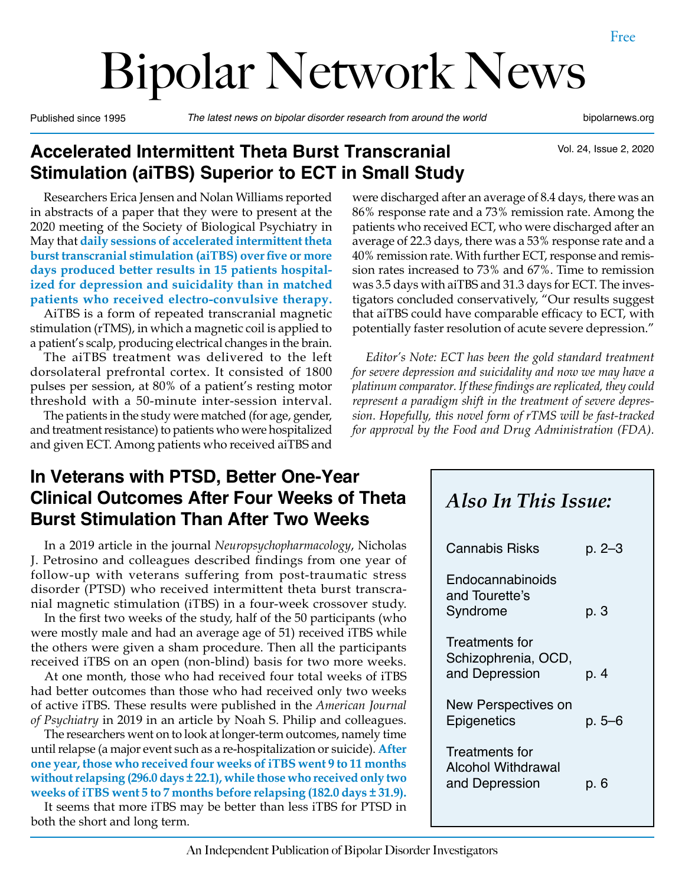# Bipolar Network News

Published since 1995 *The latest news on bipolar disorder research from around the world* bipolarnews.org

## **Accelerated Intermittent Theta Burst Transcranial Stimulation (aiTBS) Superior to ECT in Small Study**

Vol. 24, Issue 2, 2020

Researchers Erica Jensen and Nolan Williams reported in abstracts of a paper that they were to present at the 2020 meeting of the Society of Biological Psychiatry in May that **daily sessions of accelerated intermittent theta burst transcranial stimulation (aiTBS) over five or more days produced better results in 15 patients hospitalized for depression and suicidality than in matched patients who received electro-convulsive therapy.** 

AiTBS is a form of repeated transcranial magnetic stimulation (rTMS), in which a magnetic coil is applied to a patient's scalp, producing electrical changes in the brain.

The aiTBS treatment was delivered to the left dorsolateral prefrontal cortex. It consisted of 1800 pulses per session, at 80% of a patient's resting motor threshold with a 50-minute inter-session interval.

The patients in the study were matched (for age, gender, and treatment resistance) to patients who were hospitalized and given ECT. Among patients who received aiTBS and

#### **In Veterans with PTSD, Better One-Year Clinical Outcomes After Four Weeks of Theta Burst Stimulation Than After Two Weeks**

In a 2019 article in the journal *Neuropsychopharmacology*, Nicholas J. Petrosino and colleagues described findings from one year of follow-up with veterans suffering from post-traumatic stress disorder (PTSD) who received intermittent theta burst transcranial magnetic stimulation (iTBS) in a four-week crossover study.

In the first two weeks of the study, half of the 50 participants (who were mostly male and had an average age of 51) received iTBS while the others were given a sham procedure. Then all the participants received iTBS on an open (non-blind) basis for two more weeks.

At one month, those who had received four total weeks of iTBS had better outcomes than those who had received only two weeks of active iTBS. These results were published in the *American Journal of Psychiatry* in 2019 in an article by Noah S. Philip and colleagues.

The researchers went on to look at longer-term outcomes, namely time until relapse (a major event such as a re-hospitalization or suicide). **After one year, those who received four weeks of iTBS went 9 to 11 months without relapsing (296.0 days ± 22.1), while those who received only two weeks of iTBS went 5 to 7 months before relapsing (182.0 days ± 31.9).**

It seems that more iTBS may be better than less iTBS for PTSD in both the short and long term.

were discharged after an average of 8.4 days, there was an 86% response rate and a 73% remission rate. Among the patients who received ECT, who were discharged after an average of 22.3 days, there was a 53% response rate and a 40% remission rate. With further ECT, response and remission rates increased to 73% and 67%. Time to remission was 3.5 days with aiTBS and 31.3 days for ECT. The investigators concluded conservatively, "Our results suggest that aiTBS could have comparable efficacy to ECT, with potentially faster resolution of acute severe depression."

*Editor's Note: ECT has been the gold standard treatment for severe depression and suicidality and now we may have a platinum comparator. If these findings are replicated, they could represent a paradigm shift in the treatment of severe depression. Hopefully, this novel form of rTMS will be fast-tracked for approval by the Food and Drug Administration (FDA).*

# *Also In This Issue:*

| Cannabis Risks                                          | p. 2–3    |
|---------------------------------------------------------|-----------|
| Endocannabinoids<br>and Tourette's<br>Syndrome          | p. 3      |
| Treatments for<br>Schizophrenia, OCD,<br>and Depression | p. 4      |
| New Perspectives on<br>Epigenetics                      | $p.5 - 6$ |
| Treatments for<br>Alcohol Withdrawal<br>and Depression  | р. 6      |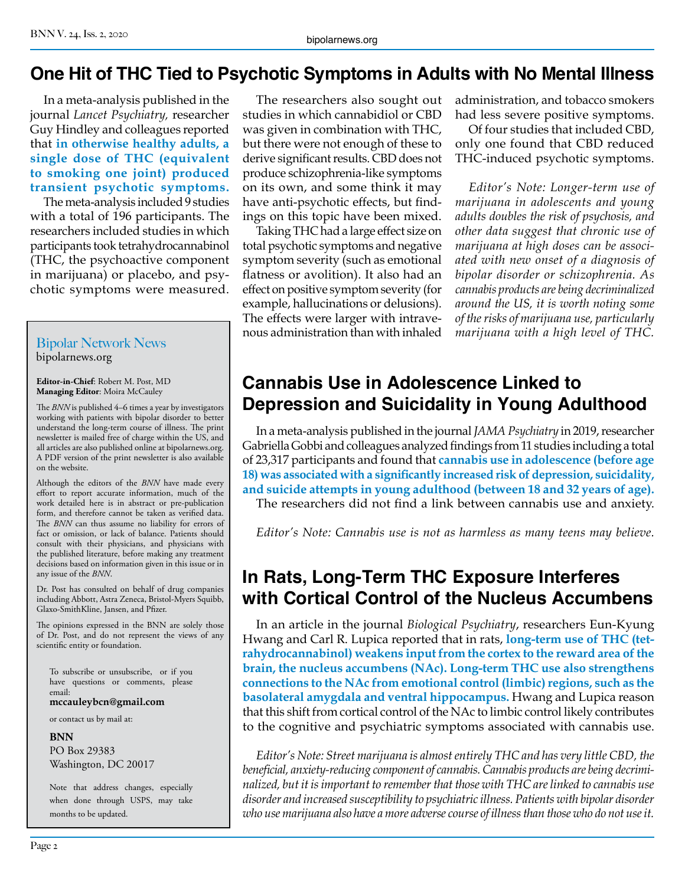## **One Hit of THC Tied to Psychotic Symptoms in Adults with No Mental Illness**

In a meta-analysis published in the journal *Lancet Psychiatry,* researcher Guy Hindley and colleagues reported that **in otherwise healthy adults, a single dose of THC (equivalent to smoking one joint) produced transient psychotic symptoms.**

The meta-analysis included 9 studies with a total of 196 participants. The researchers included studies in which participants took tetrahydrocannabinol (THC, the psychoactive component in marijuana) or placebo, and psychotic symptoms were measured.

#### Bipolar Network News bipolarnews.org

**Editor-in-Chief**: Robert M. Post, MD **Managing Editor**: Moira McCauley

The *BNN* is published 4–6 times a year by investigators working with patients with bipolar disorder to better understand the long-term course of illness. The print newsletter is mailed free of charge within the US, and all articles are also published online at bipolarnews.org. A PDF version of the print newsletter is also available on the website.

Although the editors of the *BNN* have made every effort to report accurate information, much of the work detailed here is in abstract or pre-publication form, and therefore cannot be taken as verified data. The *BNN* can thus assume no liability for errors of fact or omission, or lack of balance. Patients should consult with their physicians, and physicians with the published literature, before making any treatment decisions based on information given in this issue or in any issue of the *BNN*.

Dr. Post has consulted on behalf of drug companies including Abbott, Astra Zeneca, Bristol-Myers Squibb, Glaxo-SmithKline, Jansen, and Pfizer.

The opinions expressed in the BNN are solely those of Dr. Post, and do not represent the views of any scientific entity or foundation.

To subscribe or unsubscribe, or if you have questions or comments, please email:

**mccauleybcn@gmail.com**

or contact us by mail at:

**BNN**

PO Box 29383 Washington, DC 20017

Note that address changes, especially when done through USPS, may take months to be updated.

The researchers also sought out studies in which cannabidiol or CBD was given in combination with THC, but there were not enough of these to derive significant results. CBD does not produce schizophrenia-like symptoms on its own, and some think it may have anti-psychotic effects, but findings on this topic have been mixed.

Taking THC had a large effect size on total psychotic symptoms and negative symptom severity (such as emotional flatness or avolition). It also had an effect on positive symptom severity (for example, hallucinations or delusions). The effects were larger with intravenous administration than with inhaled

administration, and tobacco smokers had less severe positive symptoms.

Of four studies that included CBD, only one found that CBD reduced THC-induced psychotic symptoms.

*Editor's Note: Longer-term use of marijuana in adolescents and young adults doubles the risk of psychosis, and other data suggest that chronic use of marijuana at high doses can be associated with new onset of a diagnosis of bipolar disorder or schizophrenia. As cannabis products are being decriminalized around the US, it is worth noting some of the risks of marijuana use, particularly marijuana with a high level of THC.* 

# **Cannabis Use in Adolescence Linked to Depression and Suicidality in Young Adulthood**

In a meta-analysis published in the journal *JAMA Psychiatry* in 2019, researcher Gabriella Gobbi and colleagues analyzed findings from 11 studies including a total of 23,317 participants and found that **cannabis use in adolescence (before age 18) was associated with a significantly increased risk of depression, suicidality, and suicide attempts in young adulthood (between 18 and 32 years of age).** 

The researchers did not find a link between cannabis use and anxiety.

*Editor's Note: Cannabis use is not as harmless as many teens may believe.* 

## **In Rats, Long-Term THC Exposure Interferes with Cortical Control of the Nucleus Accumbens**

In an article in the journal *Biological Psychiatry*, researchers Eun-Kyung Hwang and Carl R. Lupica reported that in rats, **long-term use of THC (tetrahydrocannabinol) weakens input from the cortex to the reward area of the brain, the nucleus accumbens (NAc). Long-term THC use also strengthens connections to the NAc from emotional control (limbic) regions, such as the basolateral amygdala and ventral hippocampus.** Hwang and Lupica reason that this shift from cortical control of the NAc to limbic control likely contributes to the cognitive and psychiatric symptoms associated with cannabis use.

*Editor's Note: Street marijuana is almost entirely THC and has very little CBD, the beneficial, anxiety-reducing component of cannabis. Cannabis products are being decriminalized, but it is important to remember that those with THC are linked to cannabis use disorder and increased susceptibility to psychiatric illness. Patients with bipolar disorder who use marijuana also have a more adverse course of illness than those who do not use it.*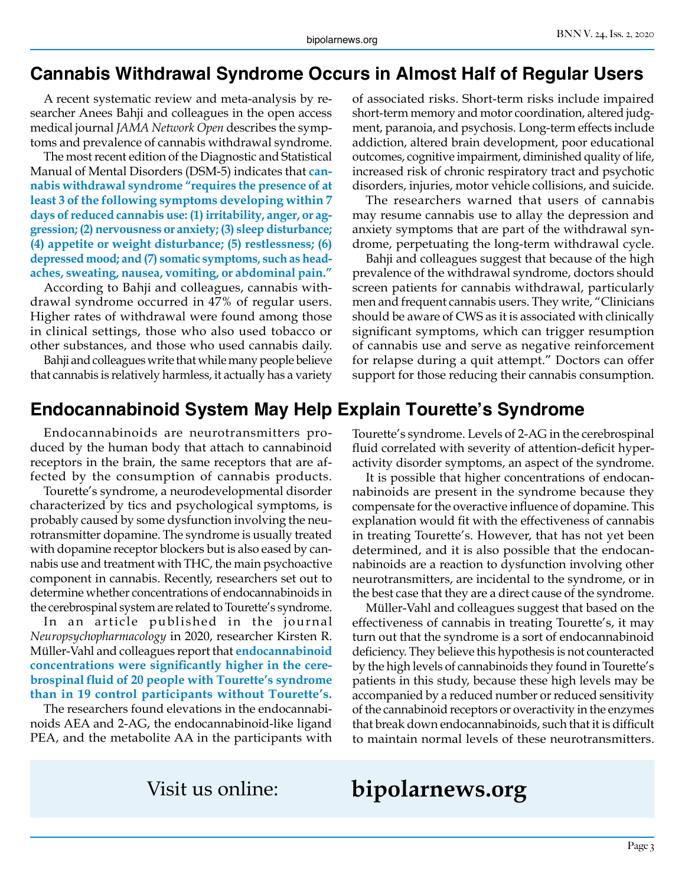#### **Cannabis Withdrawal Syndrome Occurs in Almost Half of Regular Users**

A recent systematic review and meta-analysis by researcher Anees Bahji and colleagues in the open access medical journal *JAMA Network Open* describes the symptoms and prevalence of cannabis withdrawal syndrome.

The most recent edition of the Diagnostic and Statistical Manual of Mental Disorders (DSM-5) indicates that **cannabis withdrawal syndrome "requires the presence of at least 3 of the following symptoms developing within 7 days of reduced cannabis use: (1) irritability, anger, or aggression; (2) nervousness or anxiety; (3) sleep disturbance; (4) appetite or weight disturbance; (5) restlessness; (6) depressed mood; and (7) somatic symptoms, such as headaches, sweating, nausea, vomiting, or abdominal pain."**

According to Bahji and colleagues, cannabis withdrawal syndrome occurred in 47% of regular users. Higher rates of withdrawal were found among those in clinical settings, those who also used tobacco or other substances, and those who used cannabis daily.

Bahji and colleagues write that while many people believe that cannabis is relatively harmless, it actually has a variety

#### **Endocannabinoid System May Help Explain Tourette's Syndrome**

Endocannabinoids are neurotransmitters produced by the human body that attach to cannabinoid receptors in the brain, the same receptors that are affected by the consumption of cannabis products.

Tourette's syndrome, a neurodevelopmental disorder characterized by tics and psychological symptoms, is probably caused by some dysfunction involving the neurotransmitter dopamine. The syndrome is usually treated with dopamine receptor blockers but is also eased by cannabis use and treatment with THC, the main psychoactive component in cannabis. Recently, researchers set out to determine whether concentrations of endocannabinoids in the cerebrospinal system are related to Tourette's syndrome.

In an article published in the journal *Neuropsychopharmacology* in 2020, researcher Kirsten R. Müller-Vahl and colleagues report that **endocannabinoid concentrations were significantly higher in the cerebrospinal fluid of 20 people with Tourette's syndrome than in 19 control participants without Tourette's.** 

The researchers found elevations in the endocannabinoids AEA and 2-AG, the endocannabinoid-like ligand PEA, and the metabolite AA in the participants with of associated risks. Short-term risks include impaired short-term memory and motor coordination, altered judgment, paranoia, and psychosis. Long-term effects include addiction, altered brain development, poor educational outcomes, cognitive impairment, diminished quality of life, increased risk of chronic respiratory tract and psychotic disorders, injuries, motor vehicle collisions, and suicide.

The researchers warned that users of cannabis may resume cannabis use to allay the depression and anxiety symptoms that are part of the withdrawal syndrome, perpetuating the long-term withdrawal cycle.

Bahji and colleagues suggest that because of the high prevalence of the withdrawal syndrome, doctors should screen patients for cannabis withdrawal, particularly men and frequent cannabis users. They write, "Clinicians should be aware of CWS as it is associated with clinically significant symptoms, which can trigger resumption of cannabis use and serve as negative reinforcement for relapse during a quit attempt." Doctors can offer support for those reducing their cannabis consumption.

Tourette's syndrome. Levels of 2-AG in the cerebrospinal fluid correlated with severity of attention-deficit hyperactivity disorder symptoms, an aspect of the syndrome.

It is possible that higher concentrations of endocannabinoids are present in the syndrome because they compensate for the overactive influence of dopamine. This explanation would fit with the effectiveness of cannabis in treating Tourette's. However, that has not yet been determined, and it is also possible that the endocannabinoids are a reaction to dysfunction involving other neurotransmitters, are incidental to the syndrome, or in the best case that they are a direct cause of the syndrome.

Müller-Vahl and colleagues suggest that based on the effectiveness of cannabis in treating Tourette's, it may turn out that the syndrome is a sort of endocannabinoid deficiency. They believe this hypothesis is not counteracted by the high levels of cannabinoids they found in Tourette's patients in this study, because these high levels may be accompanied by a reduced number or reduced sensitivity of the cannabinoid receptors or overactivity in the enzymes that break down endocannabinoids, such that it is difficult to maintain normal levels of these neurotransmitters.

# Visit us online: **bipolarnews.org**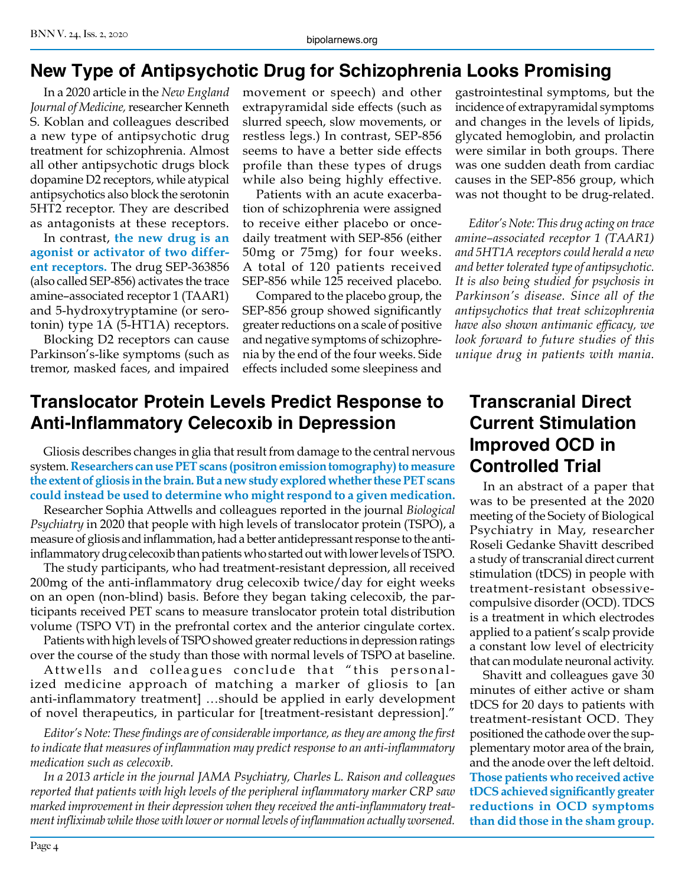## **New Type of Antipsychotic Drug for Schizophrenia Looks Promising**

In a 2020 article in the *New England Journal of Medicine,* researcher Kenneth S. Koblan and colleagues described a new type of antipsychotic drug treatment for schizophrenia. Almost all other antipsychotic drugs block dopamine D2 receptors, while atypical antipsychotics also block the serotonin 5HT2 receptor. They are described as antagonists at these receptors.

In contrast, **the new drug is an agonist or activator of two different receptors.** The drug SEP-363856 (also called SEP-856) activates the trace amine–associated receptor 1 (TAAR1) and 5-hydroxytryptamine (or serotonin) type 1A (5-HT1A) receptors.

Blocking D2 receptors can cause Parkinson's-like symptoms (such as tremor, masked faces, and impaired movement or speech) and other extrapyramidal side effects (such as slurred speech, slow movements, or restless legs.) In contrast, SEP-856 seems to have a better side effects profile than these types of drugs while also being highly effective.

Patients with an acute exacerbation of schizophrenia were assigned to receive either placebo or oncedaily treatment with SEP-856 (either 50mg or 75mg) for four weeks. A total of 120 patients received SEP-856 while 125 received placebo.

Compared to the placebo group, the SEP-856 group showed significantly greater reductions on a scale of positive and negative symptoms of schizophrenia by the end of the four weeks. Side effects included some sleepiness and

#### **Translocator Protein Levels Predict Response to Anti-Inflammatory Celecoxib in Depression**

Gliosis describes changes in glia that result from damage to the central nervous system. **Researchers can use PET scans (positron emission tomography) to measure the extent of gliosis in the brain. But a new study explored whether these PET scans could instead be used to determine who might respond to a given medication.**

Researcher Sophia Attwells and colleagues reported in the journal *Biological Psychiatry* in 2020 that people with high levels of translocator protein (TSPO), a measure of gliosis and inflammation, had a better antidepressant response to the antiinflammatory drug celecoxib than patients who started out with lower levels of TSPO.

The study participants, who had treatment-resistant depression, all received 200mg of the anti-inflammatory drug celecoxib twice/day for eight weeks on an open (non-blind) basis. Before they began taking celecoxib, the participants received PET scans to measure translocator protein total distribution volume (TSPO VT) in the prefrontal cortex and the anterior cingulate cortex.

Patients with high levels of TSPO showed greater reductions in depression ratings over the course of the study than those with normal levels of TSPO at baseline.

Attwells and colleagues conclude that "this personalized medicine approach of matching a marker of gliosis to [an anti-inflammatory treatment] …should be applied in early development of novel therapeutics, in particular for [treatment-resistant depression]."

*Editor's Note: These findings are of considerable importance, as they are among the first to indicate that measures of inflammation may predict response to an anti-inflammatory medication such as celecoxib.* 

*In a 2013 article in the journal JAMA Psychiatry, Charles L. Raison and colleagues reported that patients with high levels of the peripheral inflammatory marker CRP saw marked improvement in their depression when they received the anti-inflammatory treatment infliximab while those with lower or normal levels of inflammation actually worsened.*

gastrointestinal symptoms, but the incidence of extrapyramidal symptoms and changes in the levels of lipids, glycated hemoglobin, and prolactin were similar in both groups. There was one sudden death from cardiac causes in the SEP-856 group, which was not thought to be drug-related.

*Editor's Note: This drug acting on trace amine–associated receptor 1 (TAAR1) and 5HT1A receptors could herald a new and better tolerated type of antipsychotic. It is also being studied for psychosis in Parkinson's disease. Since all of the antipsychotics that treat schizophrenia have also shown antimanic efficacy, we look forward to future studies of this unique drug in patients with mania.*

### **Transcranial Direct Current Stimulation Improved OCD in Controlled Trial**

In an abstract of a paper that was to be presented at the 2020 meeting of the Society of Biological Psychiatry in May, researcher Roseli Gedanke Shavitt described a study of transcranial direct current stimulation (tDCS) in people with treatment-resistant obsessivecompulsive disorder (OCD). TDCS is a treatment in which electrodes applied to a patient's scalp provide a constant low level of electricity that can modulate neuronal activity.

Shavitt and colleagues gave 30 minutes of either active or sham tDCS for 20 days to patients with treatment-resistant OCD. They positioned the cathode over the supplementary motor area of the brain, and the anode over the left deltoid. **Those patients who received active tDCS achieved significantly greater reductions in OCD symptoms than did those in the sham group.**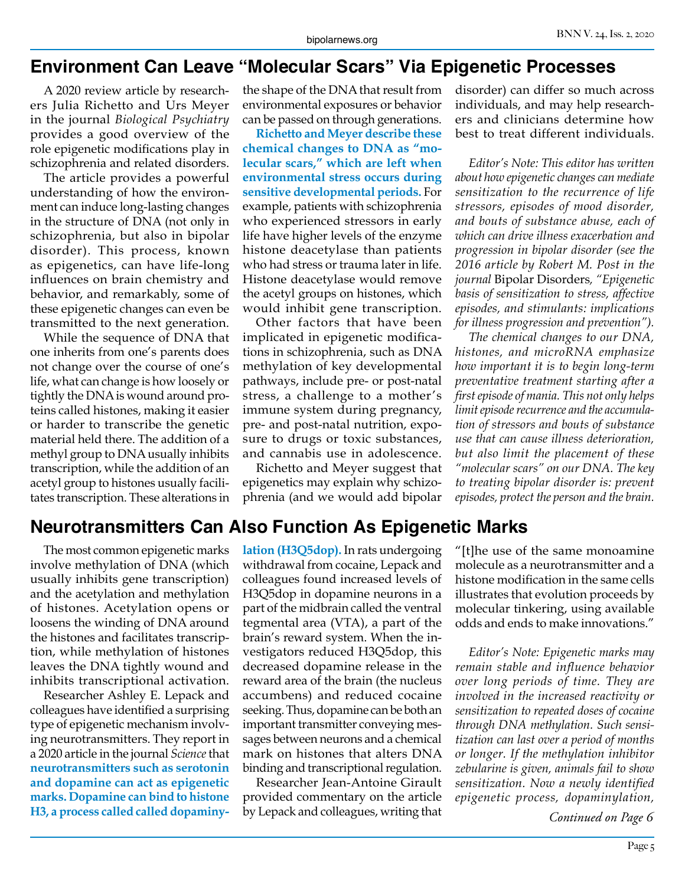## **Environment Can Leave "Molecular Scars" Via Epigenetic Processes**

A 2020 review article by researchers Julia Richetto and Urs Meyer in the journal *Biological Psychiatry* provides a good overview of the role epigenetic modifications play in schizophrenia and related disorders.

The article provides a powerful understanding of how the environment can induce long-lasting changes in the structure of DNA (not only in schizophrenia, but also in bipolar disorder). This process, known as epigenetics, can have life-long influences on brain chemistry and behavior, and remarkably, some of these epigenetic changes can even be transmitted to the next generation.

While the sequence of DNA that one inherits from one's parents does not change over the course of one's life, what can change is how loosely or tightly the DNA is wound around proteins called histones, making it easier or harder to transcribe the genetic material held there. The addition of a methyl group to DNA usually inhibits transcription, while the addition of an acetyl group to histones usually facilitates transcription. These alterations in

the shape of the DNA that result from environmental exposures or behavior can be passed on through generations.

**Richetto and Meyer describe these chemical changes to DNA as "molecular scars," which are left when environmental stress occurs during sensitive developmental periods.** For example, patients with schizophrenia who experienced stressors in early life have higher levels of the enzyme histone deacetylase than patients who had stress or trauma later in life. Histone deacetylase would remove the acetyl groups on histones, which would inhibit gene transcription.

Other factors that have been implicated in epigenetic modifications in schizophrenia, such as DNA methylation of key developmental pathways, include pre- or post-natal stress, a challenge to a mother's immune system during pregnancy, pre- and post-natal nutrition, exposure to drugs or toxic substances, and cannabis use in adolescence.

Richetto and Meyer suggest that epigenetics may explain why schizophrenia (and we would add bipolar disorder) can differ so much across individuals, and may help researchers and clinicians determine how best to treat different individuals.

*Editor's Note: This editor has written about how epigenetic changes can mediate sensitization to the recurrence of life stressors, episodes of mood disorder, and bouts of substance abuse, each of which can drive illness exacerbation and progression in bipolar disorder (see the 2016 article by Robert M. Post in the journal* Bipolar Disorders*, "Epigenetic basis of sensitization to stress, affective episodes, and stimulants: implications for illness progression and prevention").*

*The chemical changes to our DNA, histones, and microRNA emphasize how important it is to begin long-term preventative treatment starting after a first episode of mania. This not only helps limit episode recurrence and the accumulation of stressors and bouts of substance use that can cause illness deterioration, but also limit the placement of these "molecular scars" on our DNA. The key to treating bipolar disorder is: prevent episodes, protect the person and the brain.*

#### **Neurotransmitters Can Also Function As Epigenetic Marks**

The most common epigenetic marks involve methylation of DNA (which usually inhibits gene transcription) and the acetylation and methylation of histones. Acetylation opens or loosens the winding of DNA around the histones and facilitates transcription, while methylation of histones leaves the DNA tightly wound and inhibits transcriptional activation.

Researcher Ashley E. Lepack and colleagues have identified a surprising type of epigenetic mechanism involving neurotransmitters. They report in a 2020 article in the journal *Science* that **neurotransmitters such as serotonin and dopamine can act as epigenetic marks. Dopamine can bind to histone H3, a process called called dopaminy-** **lation (H3Q5dop).** In rats undergoing withdrawal from cocaine, Lepack and colleagues found increased levels of H3Q5dop in dopamine neurons in a part of the midbrain called the ventral tegmental area (VTA), a part of the brain's reward system. When the investigators reduced H3Q5dop, this decreased dopamine release in the reward area of the brain (the nucleus accumbens) and reduced cocaine seeking. Thus, dopamine can be both an important transmitter conveying messages between neurons and a chemical mark on histones that alters DNA binding and transcriptional regulation.

Researcher Jean-Antoine Girault provided commentary on the article by Lepack and colleagues, writing that "[t]he use of the same monoamine molecule as a neurotransmitter and a histone modification in the same cells illustrates that evolution proceeds by molecular tinkering, using available odds and ends to make innovations."

*Editor's Note: Epigenetic marks may remain stable and influence behavior over long periods of time. They are involved in the increased reactivity or sensitization to repeated doses of cocaine through DNA methylation. Such sensitization can last over a period of months or longer. If the methylation inhibitor zebularine is given, animals fail to show sensitization. Now a newly identified epigenetic process, dopaminylation,* 

*Continued on Page 6*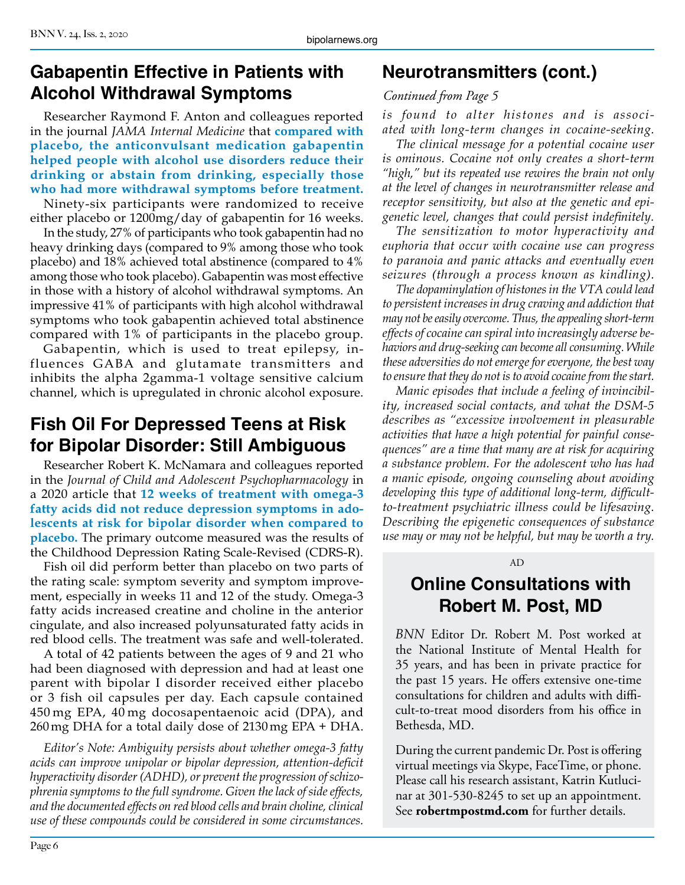#### **Gabapentin Effective in Patients with Alcohol Withdrawal Symptoms**

Researcher Raymond F. Anton and colleagues reported in the journal *JAMA Internal Medicine* that **compared with placebo, the anticonvulsant medication gabapentin helped people with alcohol use disorders reduce their drinking or abstain from drinking, especially those who had more withdrawal symptoms before treatment.**

Ninety-six participants were randomized to receive either placebo or 1200mg/day of gabapentin for 16 weeks.

In the study, 27% of participants who took gabapentin had no heavy drinking days (compared to 9% among those who took placebo) and 18% achieved total abstinence (compared to 4% among those who took placebo). Gabapentin was most effective in those with a history of alcohol withdrawal symptoms. An impressive 41% of participants with high alcohol withdrawal symptoms who took gabapentin achieved total abstinence compared with 1% of participants in the placebo group.

Gabapentin, which is used to treat epilepsy, influences GABA and glutamate transmitters and inhibits the alpha 2gamma-1 voltage sensitive calcium channel, which is upregulated in chronic alcohol exposure.

## **Fish Oil For Depressed Teens at Risk for Bipolar Disorder: Still Ambiguous**

Researcher Robert K. McNamara and colleagues reported in the *Journal of Child and Adolescent Psychopharmacology* in a 2020 article that **12 weeks of treatment with omega-3 fatty acids did not reduce depression symptoms in adolescents at risk for bipolar disorder when compared to placebo.** The primary outcome measured was the results of the Childhood Depression Rating Scale-Revised (CDRS-R).

Fish oil did perform better than placebo on two parts of the rating scale: symptom severity and symptom improvement, especially in weeks 11 and 12 of the study. Omega-3 fatty acids increased creatine and choline in the anterior cingulate, and also increased polyunsaturated fatty acids in red blood cells. The treatment was safe and well-tolerated.

A total of 42 patients between the ages of 9 and 21 who had been diagnosed with depression and had at least one parent with bipolar I disorder received either placebo or 3 fish oil capsules per day. Each capsule contained 450 mg EPA, 40 mg docosapentaenoic acid (DPA), and 260mg DHA for a total daily dose of 2130mg EPA + DHA.

*Editor's Note: Ambiguity persists about whether omega-3 fatty acids can improve unipolar or bipolar depression, attention-deficit hyperactivity disorder (ADHD), or prevent the progression of schizophrenia symptoms to the full syndrome. Given the lack of side effects, and the documented effects on red blood cells and brain choline, clinical use of these compounds could be considered in some circumstances.*

## **Neurotransmitters (cont.)**

#### *Continued from Page 5*

*is found to alter histones and is associated with long-term changes in cocaine-seeking.*

*The clinical message for a potential cocaine user is ominous. Cocaine not only creates a short-term "high," but its repeated use rewires the brain not only at the level of changes in neurotransmitter release and receptor sensitivity, but also at the genetic and epigenetic level, changes that could persist indefinitely.* 

*The sensitization to motor hyperactivity and euphoria that occur with cocaine use can progress to paranoia and panic attacks and eventually even seizures (through a process known as kindling).* 

*The dopaminylation of histones in the VTA could lead to persistent increases in drug craving and addiction that may not be easily overcome. Thus, the appealing short-term effects of cocaine can spiral into increasingly adverse behaviors and drug-seeking can become all consuming. While these adversities do not emerge for everyone, the best way to ensure that they do not is to avoid cocaine from the start.*

*Manic episodes that include a feeling of invincibility, increased social contacts, and what the DSM-5 describes as "excessive involvement in pleasurable activities that have a high potential for painful consequences" are a time that many are at risk for acquiring a substance problem. For the adolescent who has had a manic episode, ongoing counseling about avoiding developing this type of additional long-term, difficultto-treatment psychiatric illness could be lifesaving. Describing the epigenetic consequences of substance use may or may not be helpful, but may be worth a try.*

#### AD

#### **Online Consultations with Robert M. Post, MD**

*BNN* Editor Dr. Robert M. Post worked at the National Institute of Mental Health for 35 years, and has been in private practice for the past 15 years. He offers extensive one-time consultations for children and adults with difficult-to-treat mood disorders from his office in Bethesda, MD.

During the current pandemic Dr. Post is offering virtual meetings via Skype, FaceTime, or phone. Please call his research assistant, Katrin Kutlucinar at 301-530-8245 to set up an appointment. See **robertmpostmd.com** for further details.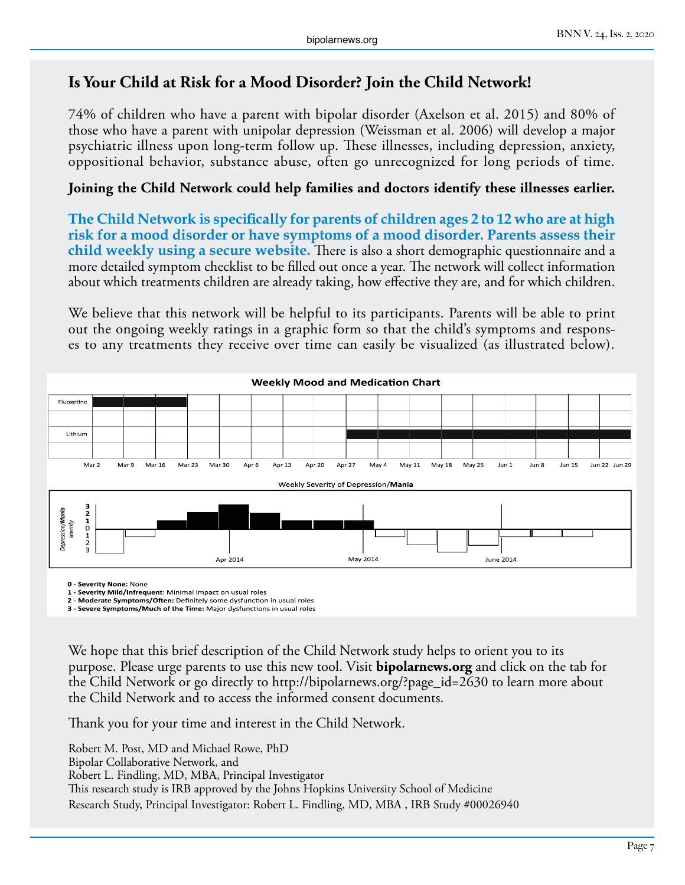#### **Is Your Child at Risk for a Mood Disorder? Join the Child Network!**

74% of children who have a parent with bipolar disorder (Axelson et al. 2015) and 80% of those who have a parent with unipolar depression (Weissman et al. 2006) will develop a major psychiatric illness upon long-term follow up. These illnesses, including depression, anxiety, oppositional behavior, substance abuse, often go unrecognized for long periods of time.

#### **Joining the Child Network could help families and doctors identify these illnesses earlier.**

**The Child Network is specifically for parents of children ages 2 to 12 who are at high risk for a mood disorder or have symptoms of a mood disorder. Parents assess their child weekly using a secure website.** There is also a short demographic questionnaire and a more detailed symptom checklist to be filled out once a year. The network will collect information about which treatments children are already taking, how effective they are, and for which children.

We believe that this network will be helpful to its participants. Parents will be able to print out the ongoing weekly ratings in a graphic form so that the child's symptoms and responses to any treatments they receive over time can easily be visualized (as illustrated below).



**0 - Severity None:** None

**1 - Severity Mild/Infrequent**: Minimal impact on usual roles

**2 - Moderate Symptoms/Often:** Definitely some dysfunction in usual roles **3 - Severe Symptoms/Much of the Time:** Major dysfunctions in usual roles

We hope that this brief description of the Child Network study helps to orient you to its purpose. Please urge parents to use this new tool. Visit **bipolarnews.org** and click on the tab for the Child Network or go directly to http://bipolarnews.org/?page\_id=2630 to learn more about the Child Network and to access the informed consent documents.

Thank you for your time and interest in the Child Network.

Robert M. Post, MD and Michael Rowe, PhD Bipolar Collaborative Network, and Robert L. Findling, MD, MBA, Principal Investigator This research study is IRB approved by the Johns Hopkins University School of Medicine Research Study, Principal Investigator: Robert L. Findling, MD, MBA , IRB Study #00026940